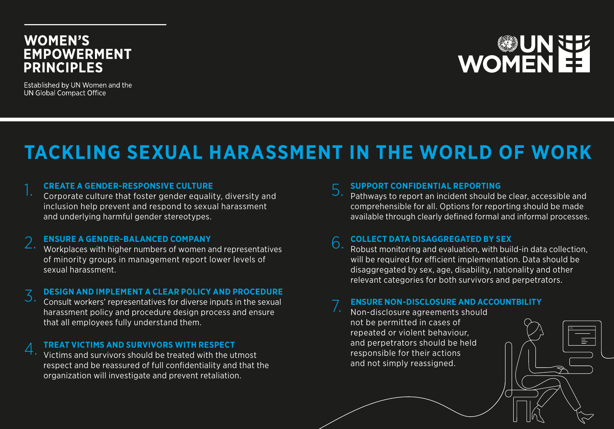### **WOMEN'S EMPOWERMENT PRINCIPLES**

Established by UN Women and the UN Global Compact Office

# **NOWENEE**

## **TACKLING SEXUAL HARASSMENT IN THE WORLD OF WORK**

1. **CREATE A GENDER-RESPONSIVE CULTURE** Corporate culture that foster gender equality, diversity and inclusion help prevent and respond to sexual harassment and underlying harmful gender stereotypes.

2. **ENSURE A GENDER-BALANCED COMPANY** Workplaces with higher numbers of women and representatives of minority groups in management report lower levels of sexual harassment.

### 3. **DESIGN AND IMPLEMENT A CLEAR POLICY AND PROCEDURE** Consult workers' representatives for diverse inputs in the sexual

harassment policy and procedure design process and ensure that all employees fully understand them.

4. **TREAT VICTIMS AND SURVIVORS WITH RESPECT** Victims and survivors should be treated with the utmost respect and be reassured of full confidentiality and that the organization will investigate and prevent retaliation.

5. **SUPPORT CONFIDENTIAL REPORTING** Pathways to report an incident should be clear, accessible and comprehensible for all. Options for reporting should be made available through clearly defined formal and informal processes.

6. **COLLECT DATA DISAGGREGATED BY SEX** Robust monitoring and evaluation, with build-in data collection, will be required for efficient implementation. Data should be disaggregated by sex, age, disability, nationality and other relevant categories for both survivors and perpetrators.

### 7. **ENSURE NON-DISCLOSURE AND ACCOUNTBILITY** Non-disclosure agreements should

not be permitted in cases of repeated or violent behaviour, and perpetrators should be held responsible for their actions and not simply reassigned.